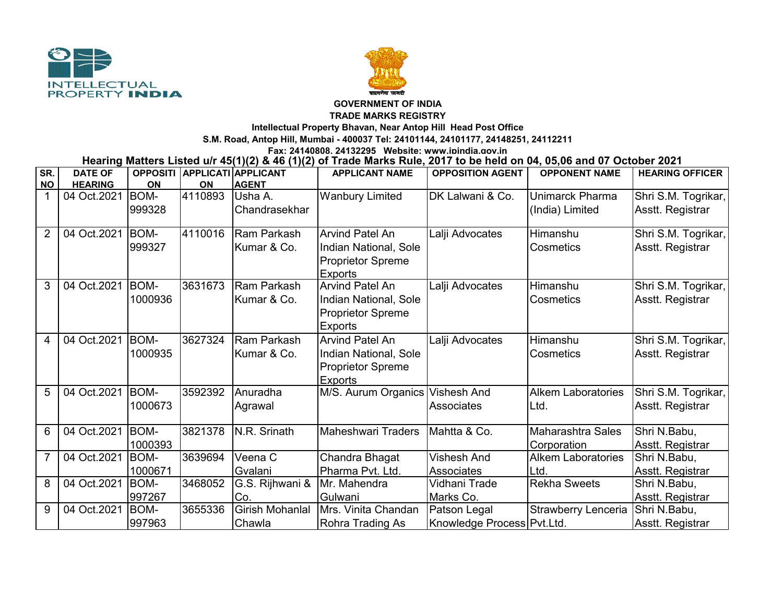



## **GOVERNMENT OF INDIA**

**TRADE MARKS REGISTRY**

**Intellectual Property Bhavan, Near Antop Hill Head Post Office**

**S.M. Road, Antop Hill, Mumbai - 400037 Tel: 24101144, 24101177, 24148251, 24112211**

**Fax: 24140808, 24132295 Website: www.ipindia.gov.in**

**Hearing Matters Listed u/r 45(1)(2) & 46 (1)(2) of Trade Marks Rule, 2017 to be held on 04, 05,06 and 07 October 2021** 

| SR.            | <b>DATE OF</b> | <b>OPPOSITI</b> |         | <b>APPLICATI APPLICANT</b> | <b>APPLICANT NAME</b>           | <b>OPPOSITION AGENT</b>    | <b>OPPONENT NAME</b>       | <b>HEARING OFFICER</b> |
|----------------|----------------|-----------------|---------|----------------------------|---------------------------------|----------------------------|----------------------------|------------------------|
| <b>NO</b>      | <b>HEARING</b> | ON              | ON      | <b>AGENT</b>               |                                 |                            |                            |                        |
| $\mathbf{1}$   | 04 Oct.2021    | BOM-            | 4110893 | Usha A.                    | <b>Wanbury Limited</b>          | DK Lalwani & Co.           | Unimarck Pharma            | Shri S.M. Togrikar,    |
|                |                | 999328          |         | Chandrasekhar              |                                 |                            | (India) Limited            | Asstt. Registrar       |
| $\overline{2}$ | 04 Oct.2021    | <b>BOM-</b>     | 4110016 | Ram Parkash                | Arvind Patel An                 | Lalji Advocates            | Himanshu                   | Shri S.M. Togrikar,    |
|                |                | 999327          |         | Kumar & Co.                | Indian National, Sole           |                            | Cosmetics                  | Asstt. Registrar       |
|                |                |                 |         |                            | <b>Proprietor Spreme</b>        |                            |                            |                        |
|                |                |                 |         |                            | <b>Exports</b>                  |                            |                            |                        |
| 3              | 04 Oct.2021    | BOM-            | 3631673 | Ram Parkash                | <b>Arvind Patel An</b>          | Lalji Advocates            | Himanshu                   | Shri S.M. Togrikar,    |
|                |                | 1000936         |         | Kumar & Co.                | Indian National, Sole           |                            | Cosmetics                  | Asstt. Registrar       |
|                |                |                 |         |                            | <b>Proprietor Spreme</b>        |                            |                            |                        |
|                |                |                 |         |                            | <b>Exports</b>                  |                            |                            |                        |
| 4              | 04 Oct.2021    | BOM-            | 3627324 | Ram Parkash                | <b>Arvind Patel An</b>          | Lalji Advocates            | Himanshu                   | Shri S.M. Togrikar,    |
|                |                | 1000935         |         | Kumar & Co.                | Indian National, Sole           |                            | Cosmetics                  | Asstt. Registrar       |
|                |                |                 |         |                            | <b>Proprietor Spreme</b>        |                            |                            |                        |
|                |                |                 |         |                            | <b>Exports</b>                  |                            |                            |                        |
| 5              | 04 Oct.2021    | <b>BOM-</b>     | 3592392 | Anuradha                   | M/S. Aurum Organics Vishesh And |                            | <b>Alkem Laboratories</b>  | Shri S.M. Togrikar,    |
|                |                | 1000673         |         | Agrawal                    |                                 | Associates                 | Ltd.                       | Asstt. Registrar       |
|                |                |                 |         |                            |                                 |                            |                            |                        |
| 6              | 04 Oct.2021    | <b>BOM-</b>     | 3821378 | N.R. Srinath               | <b>Maheshwari Traders</b>       | Mahtta & Co.               | Maharashtra Sales          | Shri N.Babu,           |
|                |                | 1000393         |         |                            |                                 |                            | Corporation                | Asstt. Registrar       |
| $\overline{7}$ | 04 Oct.2021    | <b>BOM-</b>     | 3639694 | Veena C                    | Chandra Bhagat                  | <b>Vishesh And</b>         | <b>Alkem Laboratories</b>  | Shri N.Babu,           |
|                |                | 1000671         |         | Gvalani                    | Pharma Pvt. Ltd.                | Associates                 | Ltd.                       | Asstt. Registrar       |
| 8              | 04 Oct.2021    | <b>BOM-</b>     | 3468052 | G.S. Rijhwani &            | Mr. Mahendra                    | Vidhani Trade              | <b>Rekha Sweets</b>        | Shri N.Babu,           |
|                |                | 997267          |         | Co.                        | Gulwani                         | Marks Co.                  |                            | Asstt. Registrar       |
| 9              | 04 Oct.2021    | <b>BOM-</b>     | 3655336 | Girish Mohanlal            | Mrs. Vinita Chandan             | Patson Legal               | <b>Strawberry Lenceria</b> | Shri N.Babu,           |
|                |                | 997963          |         | Chawla                     | Rohra Trading As                | Knowledge Process Pvt.Ltd. |                            | Asstt. Registrar       |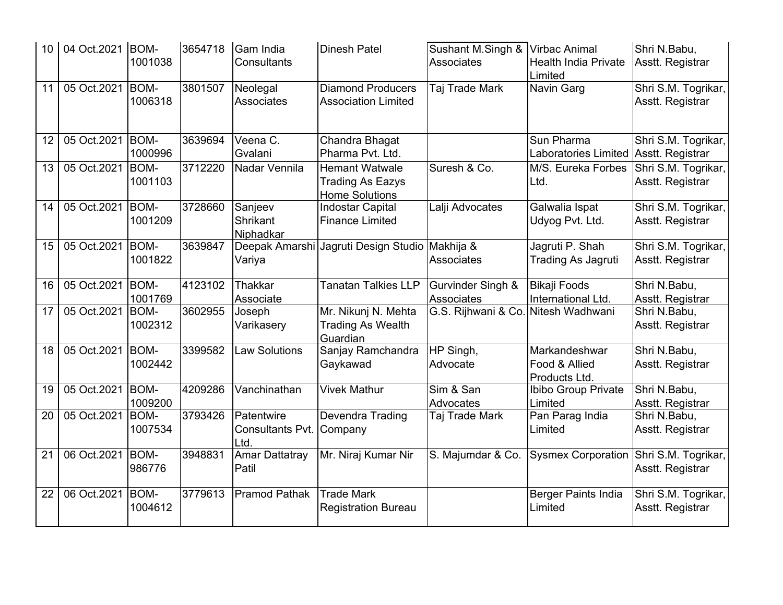| 10 | 04 Oct.2021 BOM- | 1001038                | 3654718 | Gam India<br><b>Consultants</b>         | <b>Dinesh Patel</b>                                                       | Sushant M.Singh &<br><b>Associates</b> | <b>Virbac Animal</b><br><b>Health India Private</b><br>Limited | Shri N.Babu,<br>Asstt. Registrar        |
|----|------------------|------------------------|---------|-----------------------------------------|---------------------------------------------------------------------------|----------------------------------------|----------------------------------------------------------------|-----------------------------------------|
| 11 | 05 Oct.2021      | <b>BOM-</b><br>1006318 | 3801507 | Neolegal<br>Associates                  | <b>Diamond Producers</b><br><b>Association Limited</b>                    | Taj Trade Mark                         | Navin Garg                                                     | Shri S.M. Togrikar,<br>Asstt. Registrar |
| 12 | 05 Oct.2021      | <b>BOM-</b><br>1000996 | 3639694 | Veena C.<br>Gvalani                     | Chandra Bhagat<br>Pharma Pvt. Ltd.                                        |                                        | Sun Pharma<br>Laboratories Limited Asstt. Registrar            | Shri S.M. Togrikar,                     |
| 13 | 05 Oct.2021      | <b>BOM-</b><br>1001103 | 3712220 | Nadar Vennila                           | <b>Hemant Watwale</b><br><b>Trading As Eazys</b><br><b>Home Solutions</b> | Suresh & Co.                           | M/S. Eureka Forbes<br>Ltd.                                     | Shri S.M. Togrikar,<br>Asstt. Registrar |
| 14 | 05 Oct.2021      | <b>BOM-</b><br>1001209 | 3728660 | Sanjeev<br><b>Shrikant</b><br>Niphadkar | <b>Indostar Capital</b><br><b>Finance Limited</b>                         | Lalji Advocates                        | Galwalia Ispat<br>Udyog Pvt. Ltd.                              | Shri S.M. Togrikar,<br>Asstt. Registrar |
| 15 | 05 Oct.2021      | <b>BOM-</b><br>1001822 | 3639847 | Variya                                  | Deepak Amarshi Jagruti Design Studio Makhija &                            | Associates                             | Jagruti P. Shah<br><b>Trading As Jagruti</b>                   | Shri S.M. Togrikar,<br>Asstt. Registrar |
| 16 | 05 Oct.2021      | <b>BOM-</b><br>1001769 | 4123102 | <b>Thakkar</b><br>Associate             | <b>Tanatan Talkies LLP</b>                                                | Gurvinder Singh &<br>Associates        | <b>Bikaji Foods</b><br>International Ltd.                      | Shri N.Babu,<br>Asstt. Registrar        |
| 17 | 05 Oct.2021      | <b>BOM-</b><br>1002312 | 3602955 | Joseph<br>Varikasery                    | Mr. Nikunj N. Mehta<br><b>Trading As Wealth</b><br>Guardian               | G.S. Rijhwani & Co. Nitesh Wadhwani    |                                                                | Shri N.Babu,<br>Asstt. Registrar        |
| 18 | 05 Oct.2021      | <b>BOM-</b><br>1002442 | 3399582 | <b>Law Solutions</b>                    | Sanjay Ramchandra<br>Gaykawad                                             | HP Singh,<br>Advocate                  | Markandeshwar<br>Food & Allied<br>Products Ltd.                | Shri N.Babu,<br>Asstt. Registrar        |
| 19 | 05 Oct.2021      | <b>BOM-</b><br>1009200 | 4209286 | Vanchinathan                            | <b>Vivek Mathur</b>                                                       | Sim & San<br>Advocates                 | Ibibo Group Private<br>Limited                                 | Shri N.Babu,<br>Asstt. Registrar        |
| 20 | 05 Oct.2021      | <b>BOM-</b><br>1007534 | 3793426 | Patentwire<br>Consultants Pvt.<br>Ltd.  | Devendra Trading<br>Company                                               | Taj Trade Mark                         | Pan Parag India<br>Limited                                     | Shri N.Babu,<br>Asstt. Registrar        |
| 21 | 06 Oct.2021      | <b>BOM-</b><br>986776  | 3948831 | <b>Amar Dattatray</b><br>Patil          | Mr. Niraj Kumar Nir                                                       | S. Majumdar & Co.                      | <b>Sysmex Corporation</b>                                      | Shri S.M. Togrikar,<br>Asstt. Registrar |
| 22 | 06 Oct.2021      | <b>BOM-</b><br>1004612 | 3779613 | <b>Pramod Pathak</b>                    | <b>Trade Mark</b><br><b>Registration Bureau</b>                           |                                        | Berger Paints India<br>Limited                                 | Shri S.M. Togrikar,<br>Asstt. Registrar |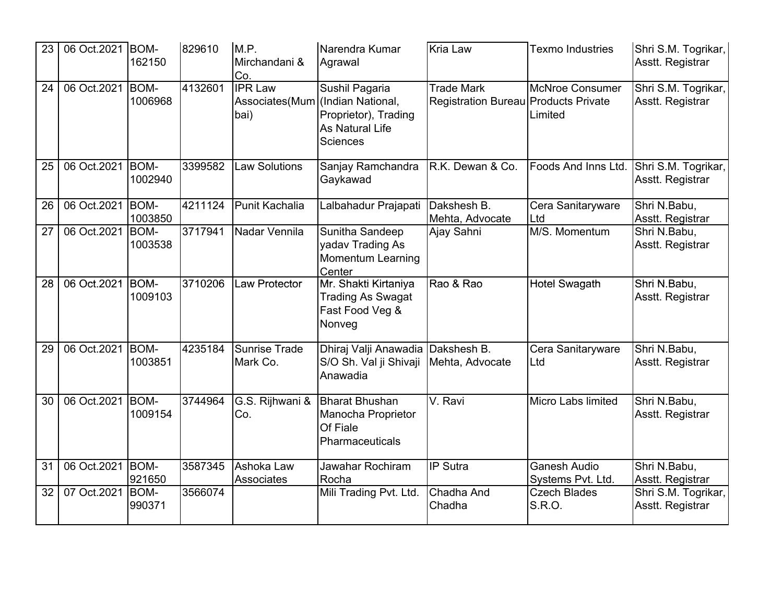| 23 | 06 Oct.2021   BOM- | 162150                 | 829610  | M.P.<br>Mirchandani &<br>Co.             | Narendra Kumar<br>Agrawal                                                                         | <b>Kria Law</b>                                           | <b>Texmo Industries</b>                  | Shri S.M. Togrikar,<br>Asstt. Registrar |
|----|--------------------|------------------------|---------|------------------------------------------|---------------------------------------------------------------------------------------------------|-----------------------------------------------------------|------------------------------------------|-----------------------------------------|
| 24 | 06 Oct.2021        | <b>BOM-</b><br>1006968 | 4132601 | <b>IPR Law</b><br>Associates(Mum<br>bai) | Sushil Pagaria<br>(Indian National,<br>Proprietor), Trading<br>As Natural Life<br><b>Sciences</b> | <b>Trade Mark</b><br>Registration Bureau Products Private | <b>McNroe Consumer</b><br>Limited        | Shri S.M. Togrikar,<br>Asstt. Registrar |
| 25 | 06 Oct.2021        | <b>BOM-</b><br>1002940 | 3399582 | <b>Law Solutions</b>                     | Sanjay Ramchandra<br>Gaykawad                                                                     | R.K. Dewan & Co.                                          | Foods And Inns Ltd.                      | Shri S.M. Togrikar,<br>Asstt. Registrar |
| 26 | 06 Oct.2021        | <b>BOM-</b><br>1003850 | 4211124 | <b>Punit Kachalia</b>                    | Lalbahadur Prajapati                                                                              | Dakshesh B.<br>Mehta, Advocate                            | Cera Sanitaryware<br>Ltd                 | Shri N.Babu,<br>Asstt. Registrar        |
| 27 | 06 Oct.2021        | <b>BOM-</b><br>1003538 | 3717941 | Nadar Vennila                            | Sunitha Sandeep<br>yadav Trading As<br><b>Momentum Learning</b><br>Center                         | Ajay Sahni                                                | M/S. Momentum                            | Shri N.Babu,<br>Asstt. Registrar        |
| 28 | 06 Oct.2021        | <b>BOM-</b><br>1009103 | 3710206 | <b>Law Protector</b>                     | Mr. Shakti Kirtaniya<br><b>Trading As Swagat</b><br>Fast Food Veg &<br>Nonveg                     | Rao & Rao                                                 | <b>Hotel Swagath</b>                     | Shri N.Babu,<br>Asstt. Registrar        |
| 29 | 06 Oct.2021        | <b>BOM-</b><br>1003851 | 4235184 | <b>Sunrise Trade</b><br>Mark Co.         | Dhiraj Valji Anawadia<br>S/O Sh. Val ji Shivaji<br>Anawadia                                       | Dakshesh B.<br>Mehta, Advocate                            | Cera Sanitaryware<br>Ltd                 | Shri N.Babu,<br>Asstt. Registrar        |
| 30 | 06 Oct.2021        | <b>BOM-</b><br>1009154 | 3744964 | G.S. Rijhwani &<br>Co.                   | <b>Bharat Bhushan</b><br>Manocha Proprietor<br>Of Fiale<br>Pharmaceuticals                        | V. Ravi                                                   | <b>Micro Labs limited</b>                | Shri N.Babu,<br>Asstt. Registrar        |
| 31 | 06 Oct.2021        | BOM-<br>921650         | 3587345 | Ashoka Law<br>Associates                 | Jawahar Rochiram<br>Rocha                                                                         | IP Sutra                                                  | <b>Ganesh Audio</b><br>Systems Pvt. Ltd. | Shri N.Babu,<br>Asstt. Registrar        |
| 32 | 07 Oct.2021        | <b>BOM-</b><br>990371  | 3566074 |                                          | Mili Trading Pvt. Ltd.                                                                            | Chadha And<br>Chadha                                      | <b>Czech Blades</b><br>S.R.O.            | Shri S.M. Togrikar,<br>Asstt. Registrar |